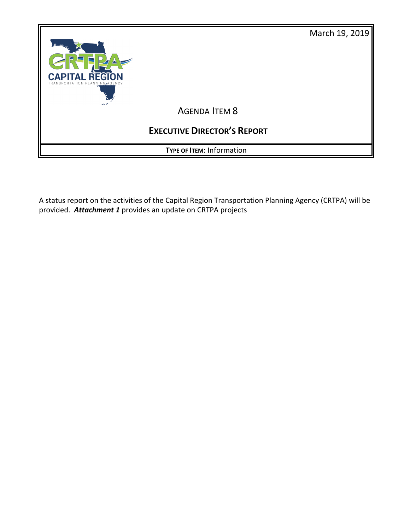

A status report on the activities of the Capital Region Transportation Planning Agency (CRTPA) will be provided. *Attachment 1* provides an update on CRTPA projects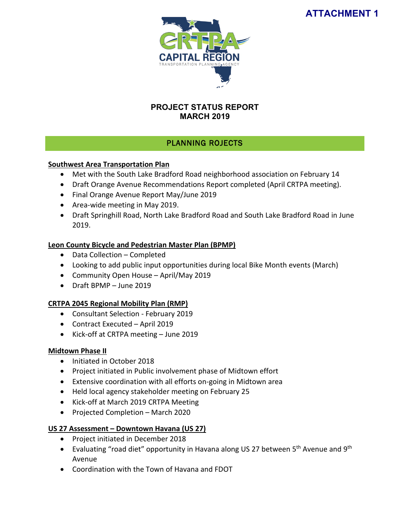# **ATTACHMENT 1**



## **PROJECT STATUS REPORT MARCH 2019**

## PLANNING ROJECTS

#### **Southwest Area Transportation Plan**

- Met with the South Lake Bradford Road neighborhood association on February 14
- Draft Orange Avenue Recommendations Report completed (April CRTPA meeting).
- Final Orange Avenue Report May/June 2019
- Area-wide meeting in May 2019.
- Draft Springhill Road, North Lake Bradford Road and South Lake Bradford Road in June 2019.

## **Leon County Bicycle and Pedestrian Master Plan (BPMP)**

- Data Collection Completed
- Looking to add public input opportunities during local Bike Month events (March)
- Community Open House April/May 2019
- Draft BPMP June 2019

## **CRTPA 2045 Regional Mobility Plan (RMP)**

- Consultant Selection February 2019
- Contract Executed April 2019
- Kick-off at CRTPA meeting June 2019

## **Midtown Phase II**

- Initiated in October 2018
- Project initiated in Public involvement phase of Midtown effort
- Extensive coordination with all efforts on-going in Midtown area
- Held local agency stakeholder meeting on February 25
- Kick-off at March 2019 CRTPA Meeting
- Projected Completion March 2020

## **US 27 Assessment – Downtown Havana (US 27)**

- Project initiated in December 2018
- Evaluating "road diet" opportunity in Havana along US 27 between 5<sup>th</sup> Avenue and 9<sup>th</sup> Avenue
- Coordination with the Town of Havana and FDOT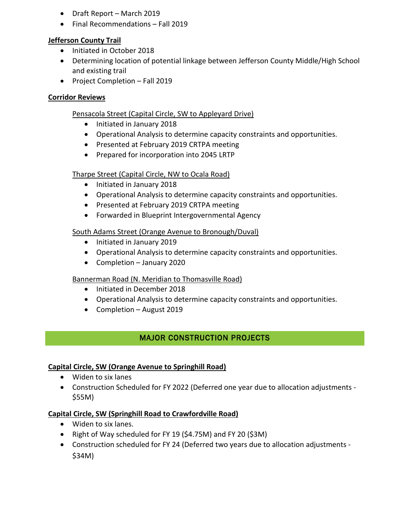- Draft Report March 2019
- Final Recommendations Fall 2019

## **Jefferson County Trail**

- Initiated in October 2018
- Determining location of potential linkage between Jefferson County Middle/High School and existing trail
- Project Completion Fall 2019

## **Corridor Reviews**

## Pensacola Street (Capital Circle, SW to Appleyard Drive)

- Initiated in January 2018
- Operational Analysis to determine capacity constraints and opportunities.
- Presented at February 2019 CRTPA meeting
- Prepared for incorporation into 2045 LRTP

## Tharpe Street (Capital Circle, NW to Ocala Road)

- Initiated in January 2018
- Operational Analysis to determine capacity constraints and opportunities.
- Presented at February 2019 CRTPA meeting
- Forwarded in Blueprint Intergovernmental Agency

## South Adams Street (Orange Avenue to Bronough/Duval)

- Initiated in January 2019
- Operational Analysis to determine capacity constraints and opportunities.
- Completion January 2020

## Bannerman Road (N. Meridian to Thomasville Road)

- Initiated in December 2018
- Operational Analysis to determine capacity constraints and opportunities.
- Completion August 2019

## MAJOR CONSTRUCTION PROJECTS

## **Capital Circle, SW (Orange Avenue to Springhill Road)**

- Widen to six lanes
- Construction Scheduled for FY 2022 (Deferred one year due to allocation adjustments \$55M)

## **Capital Circle, SW (Springhill Road to Crawfordville Road)**

- Widen to six lanes.
- Right of Way scheduled for FY 19 (\$4.75M) and FY 20 (\$3M)
- Construction scheduled for FY 24 (Deferred two years due to allocation adjustments \$34M)